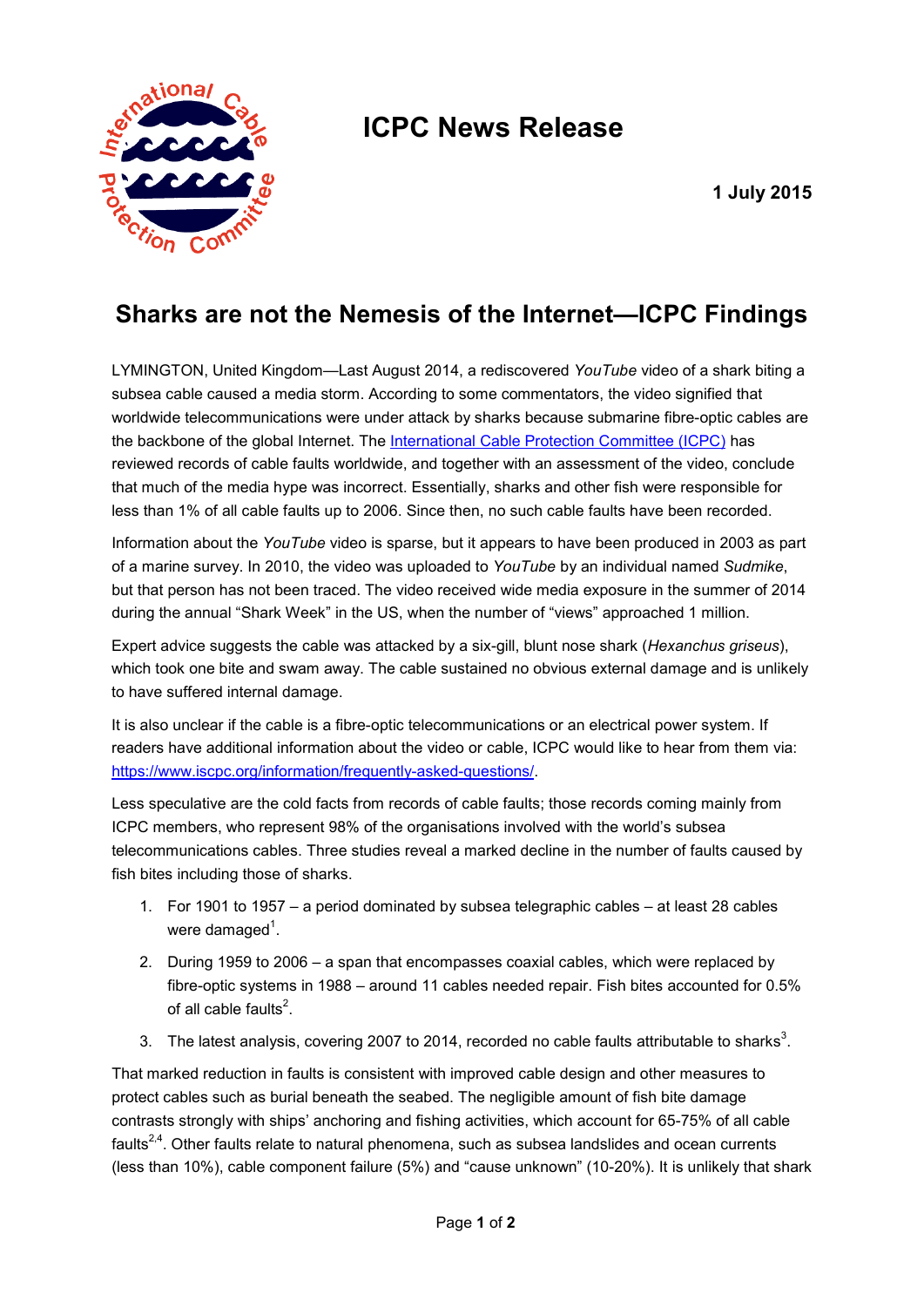

## **ICPC News Release**

## **Sharks are not the Nemesis of the Internet—ICPC Findings**

LYMINGTON, United Kingdom—Last August 2014, a rediscovered *YouTube* video of a shark biting a subsea cable caused a media storm. According to some commentators, the video signified that worldwide telecommunications were under attack by sharks because submarine fibre-optic cables are the backbone of the global Internet. The [International Cable Protection Committee \(ICPC\)](https://iscpc.org/) has reviewed records of cable faults worldwide, and together with an assessment of the video, conclude that much of the media hype was incorrect. Essentially, sharks and other fish were responsible for less than 1% of all cable faults up to 2006. Since then, no such cable faults have been recorded.

Information about the *YouTube* video is sparse, but it appears to have been produced in 2003 as part of a marine survey. In 2010, the video was uploaded to *YouTube* by an individual named *Sudmike*, but that person has not been traced. The video received wide media exposure in the summer of 2014 during the annual "Shark Week" in the US, when the number of "views" approached 1 million.

Expert advice suggests the cable was attacked by a six-gill, blunt nose shark (*Hexanchus griseus*), which took one bite and swam away. The cable sustained no obvious external damage and is unlikely to have suffered internal damage.

It is also unclear if the cable is a fibre-optic telecommunications or an electrical power system. If readers have additional information about the video or cable, ICPC would like to hear from them via: [https://www.iscpc.org/information/frequently-asked-questions/.](https://www.iscpc.org/information/frequently-asked-questions/)

Less speculative are the cold facts from records of cable faults; those records coming mainly from ICPC members, who represent 98% of the organisations involved with the world's subsea telecommunications cables. Three studies reveal a marked decline in the number of faults caused by fish bites including those of sharks.

- 1. For 1901 to 1957 a period dominated by subsea telegraphic cables at least 28 cables were damaged<sup>1</sup>.
- 2. During 1959 to 2006 a span that encompasses coaxial cables, which were replaced by fibre-optic systems in 1988 – around 11 cables needed repair. Fish bites accounted for 0.5% of all cable faults $^2$ .
- 3. The latest analysis, covering 2007 to 2014, recorded no cable faults attributable to sharks<sup>3</sup>.

That marked reduction in faults is consistent with improved cable design and other measures to protect cables such as burial beneath the seabed. The negligible amount of fish bite damage contrasts strongly with ships' anchoring and fishing activities, which account for 65-75% of all cable faults<sup>2,4</sup>. Other faults relate to natural phenomena, such as subsea landslides and ocean currents (less than 10%), cable component failure (5%) and "cause unknown" (10-20%). It is unlikely that shark